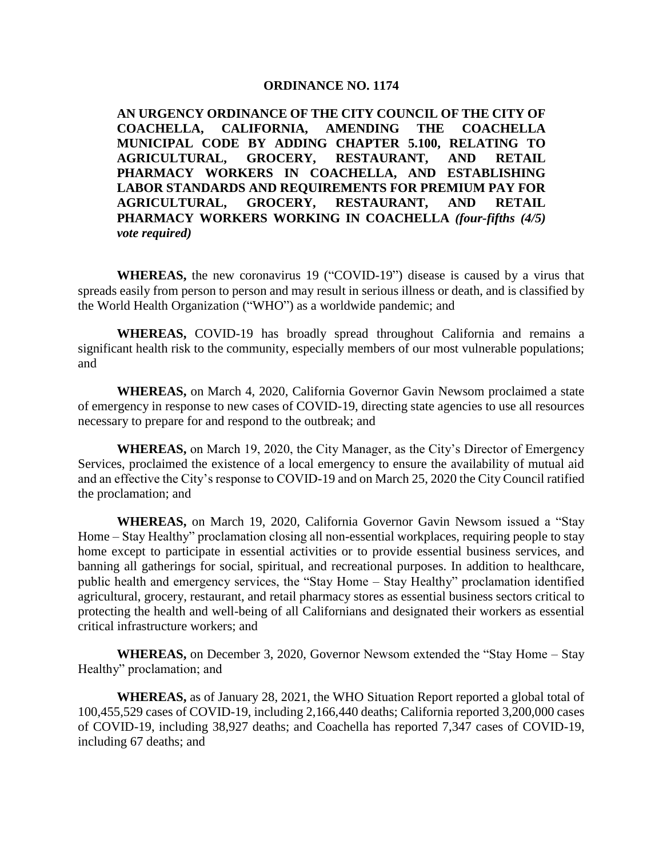#### **ORDINANCE NO. 1174**

**AN URGENCY ORDINANCE OF THE CITY COUNCIL OF THE CITY OF COACHELLA, CALIFORNIA, AMENDING THE COACHELLA MUNICIPAL CODE BY ADDING CHAPTER 5.100, RELATING TO AGRICULTURAL, GROCERY, RESTAURANT, AND RETAIL PHARMACY WORKERS IN COACHELLA, AND ESTABLISHING LABOR STANDARDS AND REQUIREMENTS FOR PREMIUM PAY FOR AGRICULTURAL, GROCERY, RESTAURANT, AND RETAIL PHARMACY WORKERS WORKING IN COACHELLA** *(four-fifths (4/5) vote required)*

**WHEREAS,** the new coronavirus 19 ("COVID-19") disease is caused by a virus that spreads easily from person to person and may result in serious illness or death, and is classified by the World Health Organization ("WHO") as a worldwide pandemic; and

**WHEREAS,** COVID-19 has broadly spread throughout California and remains a significant health risk to the community, especially members of our most vulnerable populations; and

**WHEREAS,** on March 4, 2020, California Governor Gavin Newsom proclaimed a state of emergency in response to new cases of COVID-19, directing state agencies to use all resources necessary to prepare for and respond to the outbreak; and

**WHEREAS,** on March 19, 2020, the City Manager, as the City's Director of Emergency Services, proclaimed the existence of a local emergency to ensure the availability of mutual aid and an effective the City's response to COVID-19 and on March 25, 2020 the City Council ratified the proclamation; and

**WHEREAS,** on March 19, 2020, California Governor Gavin Newsom issued a "Stay Home – Stay Healthy" proclamation closing all non-essential workplaces, requiring people to stay home except to participate in essential activities or to provide essential business services, and banning all gatherings for social, spiritual, and recreational purposes. In addition to healthcare, public health and emergency services, the "Stay Home – Stay Healthy" proclamation identified agricultural, grocery, restaurant, and retail pharmacy stores as essential business sectors critical to protecting the health and well-being of all Californians and designated their workers as essential critical infrastructure workers; and

**WHEREAS,** on December 3, 2020, Governor Newsom extended the "Stay Home – Stay Healthy" proclamation; and

**WHEREAS,** as of January 28, 2021, the WHO Situation Report reported a global total of 100,455,529 cases of COVID-19, including 2,166,440 deaths; California reported 3,200,000 cases of COVID-19, including 38,927 deaths; and Coachella has reported 7,347 cases of COVID-19, including 67 deaths; and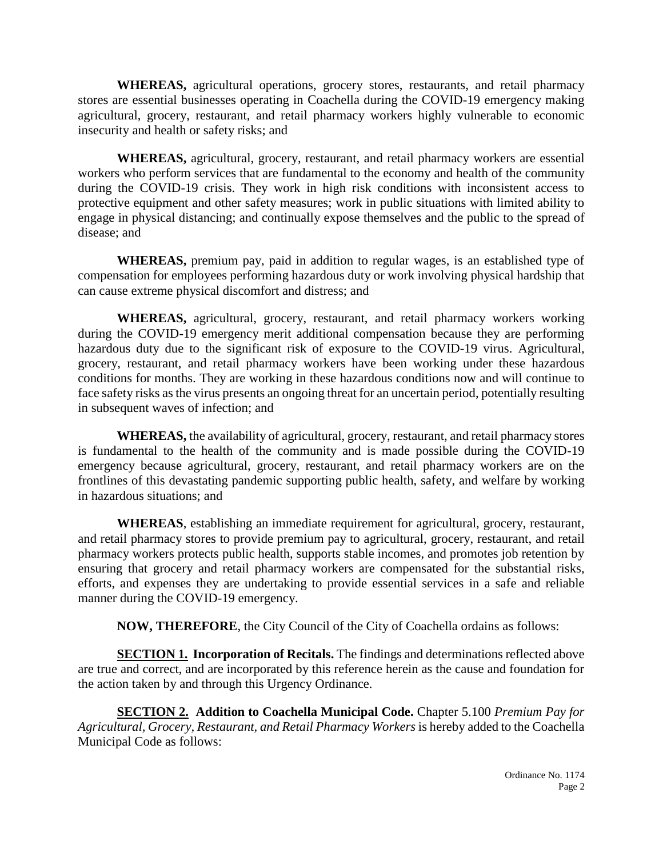**WHEREAS,** agricultural operations, grocery stores, restaurants, and retail pharmacy stores are essential businesses operating in Coachella during the COVID-19 emergency making agricultural, grocery, restaurant, and retail pharmacy workers highly vulnerable to economic insecurity and health or safety risks; and

**WHEREAS,** agricultural, grocery, restaurant, and retail pharmacy workers are essential workers who perform services that are fundamental to the economy and health of the community during the COVID-19 crisis. They work in high risk conditions with inconsistent access to protective equipment and other safety measures; work in public situations with limited ability to engage in physical distancing; and continually expose themselves and the public to the spread of disease; and

**WHEREAS,** premium pay, paid in addition to regular wages, is an established type of compensation for employees performing hazardous duty or work involving physical hardship that can cause extreme physical discomfort and distress; and

**WHEREAS,** agricultural, grocery, restaurant, and retail pharmacy workers working during the COVID-19 emergency merit additional compensation because they are performing hazardous duty due to the significant risk of exposure to the COVID-19 virus. Agricultural, grocery, restaurant, and retail pharmacy workers have been working under these hazardous conditions for months. They are working in these hazardous conditions now and will continue to face safety risks as the virus presents an ongoing threat for an uncertain period, potentially resulting in subsequent waves of infection; and

**WHEREAS,** the availability of agricultural, grocery, restaurant, and retail pharmacy stores is fundamental to the health of the community and is made possible during the COVID-19 emergency because agricultural, grocery, restaurant, and retail pharmacy workers are on the frontlines of this devastating pandemic supporting public health, safety, and welfare by working in hazardous situations; and

**WHEREAS**, establishing an immediate requirement for agricultural, grocery, restaurant, and retail pharmacy stores to provide premium pay to agricultural, grocery, restaurant, and retail pharmacy workers protects public health, supports stable incomes, and promotes job retention by ensuring that grocery and retail pharmacy workers are compensated for the substantial risks, efforts, and expenses they are undertaking to provide essential services in a safe and reliable manner during the COVID-19 emergency.

**NOW, THEREFORE**, the City Council of the City of Coachella ordains as follows:

**SECTION 1. Incorporation of Recitals.** The findings and determinations reflected above are true and correct, and are incorporated by this reference herein as the cause and foundation for the action taken by and through this Urgency Ordinance.

**SECTION 2. Addition to Coachella Municipal Code.** Chapter 5.100 *Premium Pay for Agricultural, Grocery, Restaurant, and Retail Pharmacy Workers* is hereby added to the Coachella Municipal Code as follows: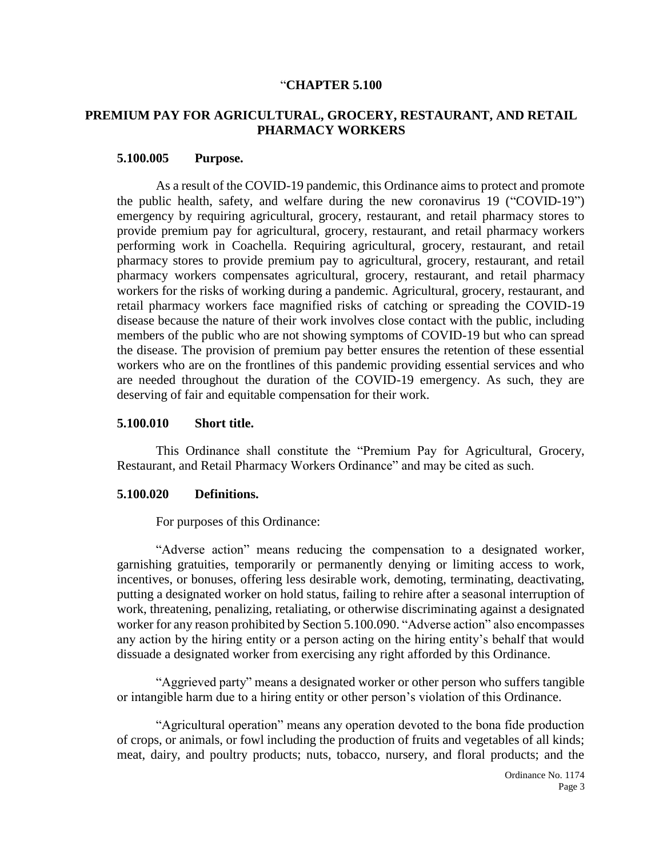#### "**CHAPTER 5.100**

#### **PREMIUM PAY FOR AGRICULTURAL, GROCERY, RESTAURANT, AND RETAIL PHARMACY WORKERS**

#### **5.100.005 Purpose.**

As a result of the COVID-19 pandemic, this Ordinance aims to protect and promote the public health, safety, and welfare during the new coronavirus 19 ("COVID-19") emergency by requiring agricultural, grocery, restaurant, and retail pharmacy stores to provide premium pay for agricultural, grocery, restaurant, and retail pharmacy workers performing work in Coachella. Requiring agricultural, grocery, restaurant, and retail pharmacy stores to provide premium pay to agricultural, grocery, restaurant, and retail pharmacy workers compensates agricultural, grocery, restaurant, and retail pharmacy workers for the risks of working during a pandemic. Agricultural, grocery, restaurant, and retail pharmacy workers face magnified risks of catching or spreading the COVID-19 disease because the nature of their work involves close contact with the public, including members of the public who are not showing symptoms of COVID-19 but who can spread the disease. The provision of premium pay better ensures the retention of these essential workers who are on the frontlines of this pandemic providing essential services and who are needed throughout the duration of the COVID-19 emergency. As such, they are deserving of fair and equitable compensation for their work.

#### **5.100.010 Short title.**

This Ordinance shall constitute the "Premium Pay for Agricultural, Grocery, Restaurant, and Retail Pharmacy Workers Ordinance" and may be cited as such.

#### **5.100.020 Definitions.**

For purposes of this Ordinance:

"Adverse action" means reducing the compensation to a designated worker, garnishing gratuities, temporarily or permanently denying or limiting access to work, incentives, or bonuses, offering less desirable work, demoting, terminating, deactivating, putting a designated worker on hold status, failing to rehire after a seasonal interruption of work, threatening, penalizing, retaliating, or otherwise discriminating against a designated worker for any reason prohibited by Section 5.100.090. "Adverse action" also encompasses any action by the hiring entity or a person acting on the hiring entity's behalf that would dissuade a designated worker from exercising any right afforded by this Ordinance.

"Aggrieved party" means a designated worker or other person who suffers tangible or intangible harm due to a hiring entity or other person's violation of this Ordinance.

"Agricultural operation" means any operation devoted to the bona fide production of crops, or animals, or fowl including the production of fruits and vegetables of all kinds; meat, dairy, and poultry products; nuts, tobacco, nursery, and floral products; and the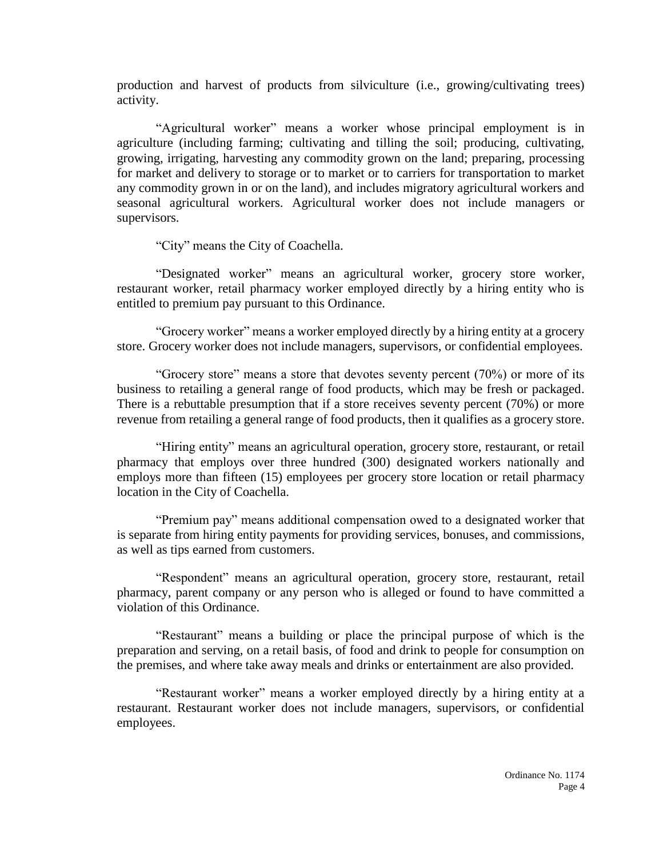production and harvest of products from silviculture (i.e., growing/cultivating trees) activity.

"Agricultural worker" means a worker whose principal employment is in agriculture (including farming; cultivating and tilling the soil; producing, cultivating, growing, irrigating, harvesting any commodity grown on the land; preparing, processing for market and delivery to storage or to market or to carriers for transportation to market any commodity grown in or on the land), and includes migratory agricultural workers and seasonal agricultural workers. Agricultural worker does not include managers or supervisors.

"City" means the City of Coachella.

"Designated worker" means an agricultural worker, grocery store worker, restaurant worker, retail pharmacy worker employed directly by a hiring entity who is entitled to premium pay pursuant to this Ordinance.

"Grocery worker" means a worker employed directly by a hiring entity at a grocery store. Grocery worker does not include managers, supervisors, or confidential employees.

"Grocery store" means a store that devotes seventy percent (70%) or more of its business to retailing a general range of food products, which may be fresh or packaged. There is a rebuttable presumption that if a store receives seventy percent (70%) or more revenue from retailing a general range of food products, then it qualifies as a grocery store.

"Hiring entity" means an agricultural operation, grocery store, restaurant, or retail pharmacy that employs over three hundred (300) designated workers nationally and employs more than fifteen (15) employees per grocery store location or retail pharmacy location in the City of Coachella.

"Premium pay" means additional compensation owed to a designated worker that is separate from hiring entity payments for providing services, bonuses, and commissions, as well as tips earned from customers.

"Respondent" means an agricultural operation, grocery store, restaurant, retail pharmacy, parent company or any person who is alleged or found to have committed a violation of this Ordinance.

"Restaurant" means a building or place the principal purpose of which is the preparation and serving, on a retail basis, of food and drink to people for consumption on the premises, and where take away meals and drinks or entertainment are also provided.

"Restaurant worker" means a worker employed directly by a hiring entity at a restaurant. Restaurant worker does not include managers, supervisors, or confidential employees.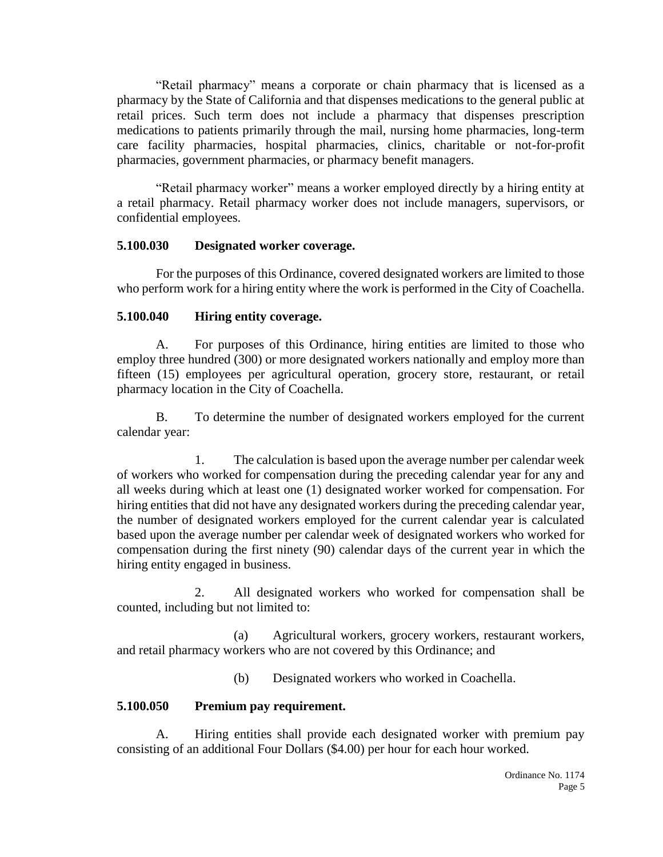"Retail pharmacy" means a corporate or chain pharmacy that is licensed as a pharmacy by the State of California and that dispenses medications to the general public at retail prices. Such term does not include a pharmacy that dispenses prescription medications to patients primarily through the mail, nursing home pharmacies, long-term care facility pharmacies, hospital pharmacies, clinics, charitable or not-for-profit pharmacies, government pharmacies, or pharmacy benefit managers.

"Retail pharmacy worker" means a worker employed directly by a hiring entity at a retail pharmacy. Retail pharmacy worker does not include managers, supervisors, or confidential employees.

#### **5.100.030 Designated worker coverage.**

For the purposes of this Ordinance, covered designated workers are limited to those who perform work for a hiring entity where the work is performed in the City of Coachella.

### **5.100.040 Hiring entity coverage.**

A. For purposes of this Ordinance, hiring entities are limited to those who employ three hundred (300) or more designated workers nationally and employ more than fifteen (15) employees per agricultural operation, grocery store, restaurant, or retail pharmacy location in the City of Coachella.

B. To determine the number of designated workers employed for the current calendar year:

1. The calculation is based upon the average number per calendar week of workers who worked for compensation during the preceding calendar year for any and all weeks during which at least one (1) designated worker worked for compensation. For hiring entities that did not have any designated workers during the preceding calendar year, the number of designated workers employed for the current calendar year is calculated based upon the average number per calendar week of designated workers who worked for compensation during the first ninety (90) calendar days of the current year in which the hiring entity engaged in business.

2. All designated workers who worked for compensation shall be counted, including but not limited to:

(a) Agricultural workers, grocery workers, restaurant workers, and retail pharmacy workers who are not covered by this Ordinance; and

(b) Designated workers who worked in Coachella.

### **5.100.050 Premium pay requirement.**

A. Hiring entities shall provide each designated worker with premium pay consisting of an additional Four Dollars (\$4.00) per hour for each hour worked.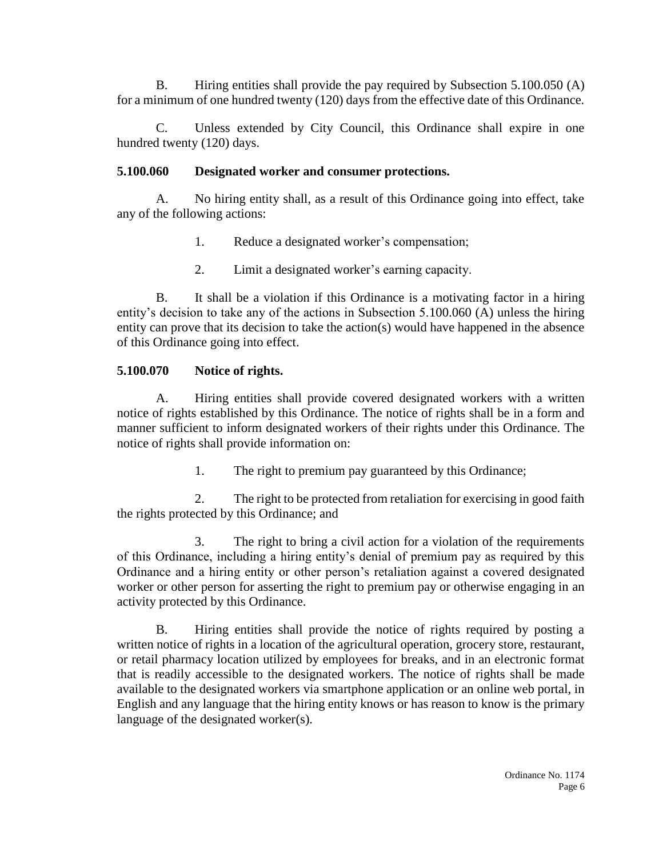B. Hiring entities shall provide the pay required by Subsection 5.100.050 (A) for a minimum of one hundred twenty (120) days from the effective date of this Ordinance.

C. Unless extended by City Council, this Ordinance shall expire in one hundred twenty (120) days.

#### **5.100.060 Designated worker and consumer protections.**

A. No hiring entity shall, as a result of this Ordinance going into effect, take any of the following actions:

- 1. Reduce a designated worker's compensation;
- 2. Limit a designated worker's earning capacity.

B. It shall be a violation if this Ordinance is a motivating factor in a hiring entity's decision to take any of the actions in Subsection 5.100.060 (A) unless the hiring entity can prove that its decision to take the action(s) would have happened in the absence of this Ordinance going into effect.

### **5.100.070 Notice of rights.**

A. Hiring entities shall provide covered designated workers with a written notice of rights established by this Ordinance. The notice of rights shall be in a form and manner sufficient to inform designated workers of their rights under this Ordinance. The notice of rights shall provide information on:

1. The right to premium pay guaranteed by this Ordinance;

2. The right to be protected from retaliation for exercising in good faith the rights protected by this Ordinance; and

3. The right to bring a civil action for a violation of the requirements of this Ordinance, including a hiring entity's denial of premium pay as required by this Ordinance and a hiring entity or other person's retaliation against a covered designated worker or other person for asserting the right to premium pay or otherwise engaging in an activity protected by this Ordinance.

B. Hiring entities shall provide the notice of rights required by posting a written notice of rights in a location of the agricultural operation, grocery store, restaurant, or retail pharmacy location utilized by employees for breaks, and in an electronic format that is readily accessible to the designated workers. The notice of rights shall be made available to the designated workers via smartphone application or an online web portal, in English and any language that the hiring entity knows or has reason to know is the primary language of the designated worker(s).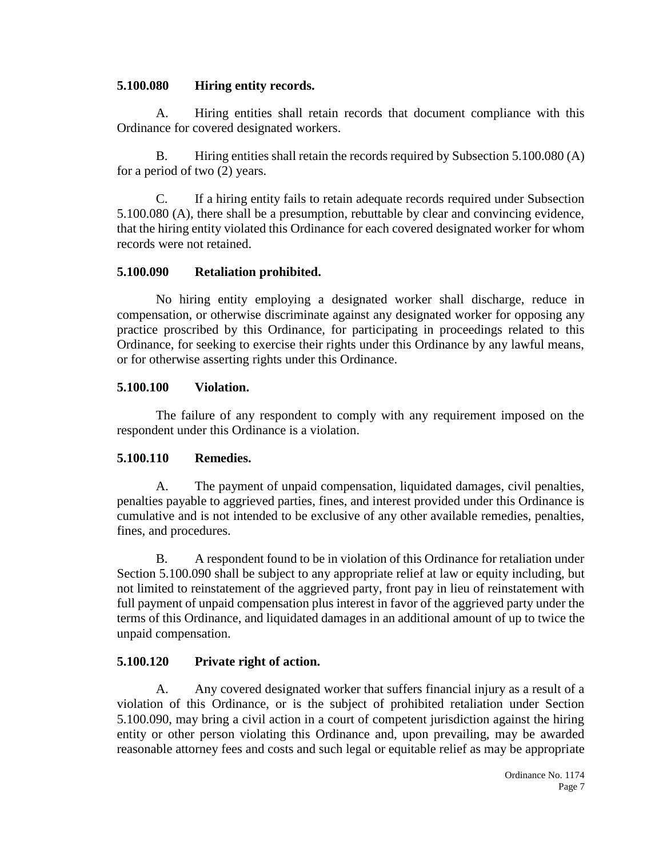#### **5.100.080 Hiring entity records.**

A. Hiring entities shall retain records that document compliance with this Ordinance for covered designated workers.

B. Hiring entities shall retain the records required by Subsection 5.100.080 (A) for a period of two (2) years.

C. If a hiring entity fails to retain adequate records required under Subsection 5.100.080 (A), there shall be a presumption, rebuttable by clear and convincing evidence, that the hiring entity violated this Ordinance for each covered designated worker for whom records were not retained.

### **5.100.090 Retaliation prohibited.**

No hiring entity employing a designated worker shall discharge, reduce in compensation, or otherwise discriminate against any designated worker for opposing any practice proscribed by this Ordinance, for participating in proceedings related to this Ordinance, for seeking to exercise their rights under this Ordinance by any lawful means, or for otherwise asserting rights under this Ordinance.

#### **5.100.100 Violation.**

The failure of any respondent to comply with any requirement imposed on the respondent under this Ordinance is a violation.

### **5.100.110 Remedies.**

A. The payment of unpaid compensation, liquidated damages, civil penalties, penalties payable to aggrieved parties, fines, and interest provided under this Ordinance is cumulative and is not intended to be exclusive of any other available remedies, penalties, fines, and procedures.

B. A respondent found to be in violation of this Ordinance for retaliation under Section 5.100.090 shall be subject to any appropriate relief at law or equity including, but not limited to reinstatement of the aggrieved party, front pay in lieu of reinstatement with full payment of unpaid compensation plus interest in favor of the aggrieved party under the terms of this Ordinance, and liquidated damages in an additional amount of up to twice the unpaid compensation.

### **5.100.120 Private right of action.**

A. Any covered designated worker that suffers financial injury as a result of a violation of this Ordinance, or is the subject of prohibited retaliation under Section 5.100.090, may bring a civil action in a court of competent jurisdiction against the hiring entity or other person violating this Ordinance and, upon prevailing, may be awarded reasonable attorney fees and costs and such legal or equitable relief as may be appropriate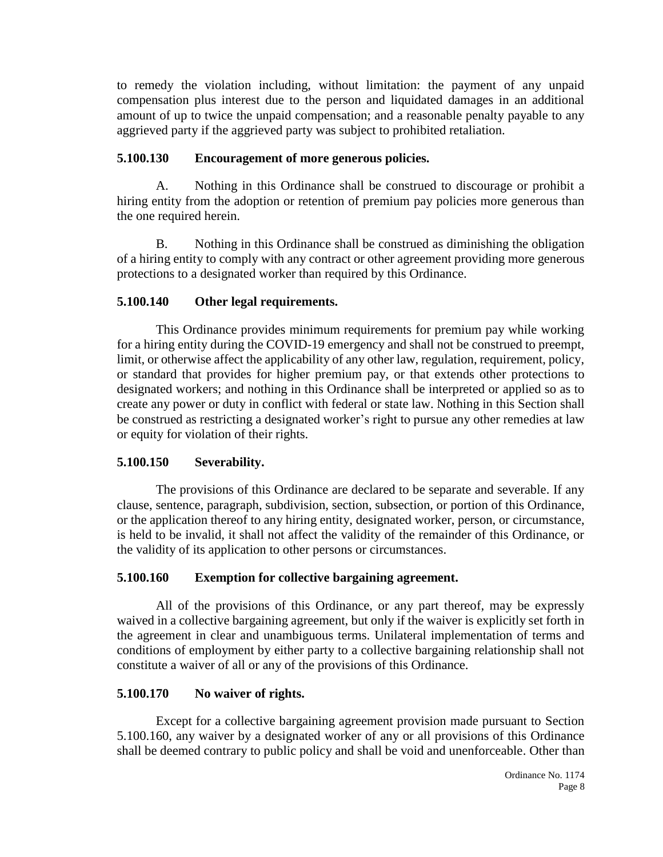to remedy the violation including, without limitation: the payment of any unpaid compensation plus interest due to the person and liquidated damages in an additional amount of up to twice the unpaid compensation; and a reasonable penalty payable to any aggrieved party if the aggrieved party was subject to prohibited retaliation.

## **5.100.130 Encouragement of more generous policies.**

A. Nothing in this Ordinance shall be construed to discourage or prohibit a hiring entity from the adoption or retention of premium pay policies more generous than the one required herein.

B. Nothing in this Ordinance shall be construed as diminishing the obligation of a hiring entity to comply with any contract or other agreement providing more generous protections to a designated worker than required by this Ordinance.

## **5.100.140 Other legal requirements.**

This Ordinance provides minimum requirements for premium pay while working for a hiring entity during the COVID-19 emergency and shall not be construed to preempt, limit, or otherwise affect the applicability of any other law, regulation, requirement, policy, or standard that provides for higher premium pay, or that extends other protections to designated workers; and nothing in this Ordinance shall be interpreted or applied so as to create any power or duty in conflict with federal or state law. Nothing in this Section shall be construed as restricting a designated worker's right to pursue any other remedies at law or equity for violation of their rights.

## **5.100.150 Severability.**

The provisions of this Ordinance are declared to be separate and severable. If any clause, sentence, paragraph, subdivision, section, subsection, or portion of this Ordinance, or the application thereof to any hiring entity, designated worker, person, or circumstance, is held to be invalid, it shall not affect the validity of the remainder of this Ordinance, or the validity of its application to other persons or circumstances.

### **5.100.160 Exemption for collective bargaining agreement.**

All of the provisions of this Ordinance, or any part thereof, may be expressly waived in a collective bargaining agreement, but only if the waiver is explicitly set forth in the agreement in clear and unambiguous terms. Unilateral implementation of terms and conditions of employment by either party to a collective bargaining relationship shall not constitute a waiver of all or any of the provisions of this Ordinance.

### **5.100.170 No waiver of rights.**

Except for a collective bargaining agreement provision made pursuant to Section 5.100.160, any waiver by a designated worker of any or all provisions of this Ordinance shall be deemed contrary to public policy and shall be void and unenforceable. Other than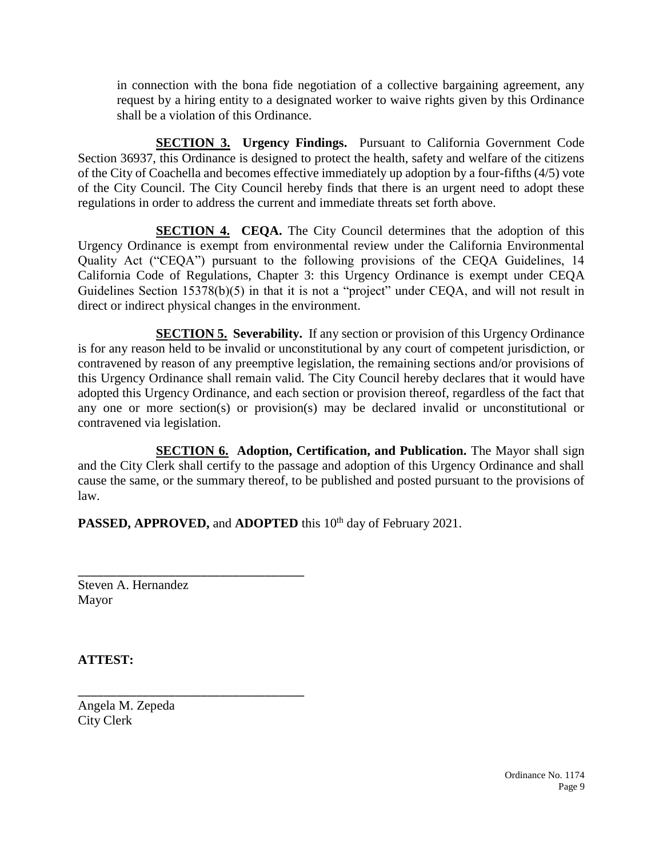in connection with the bona fide negotiation of a collective bargaining agreement, any request by a hiring entity to a designated worker to waive rights given by this Ordinance shall be a violation of this Ordinance.

**SECTION 3. Urgency Findings.** Pursuant to California Government Code Section 36937, this Ordinance is designed to protect the health, safety and welfare of the citizens of the City of Coachella and becomes effective immediately up adoption by a four-fifths (4/5) vote of the City Council. The City Council hereby finds that there is an urgent need to adopt these regulations in order to address the current and immediate threats set forth above.

**SECTION 4. CEQA.** The City Council determines that the adoption of this Urgency Ordinance is exempt from environmental review under the California Environmental Quality Act ("CEQA") pursuant to the following provisions of the CEQA Guidelines, 14 California Code of Regulations, Chapter 3: this Urgency Ordinance is exempt under CEQA Guidelines Section 15378(b)(5) in that it is not a "project" under CEQA, and will not result in direct or indirect physical changes in the environment.

**SECTION 5. Severability.** If any section or provision of this Urgency Ordinance is for any reason held to be invalid or unconstitutional by any court of competent jurisdiction, or contravened by reason of any preemptive legislation, the remaining sections and/or provisions of this Urgency Ordinance shall remain valid. The City Council hereby declares that it would have adopted this Urgency Ordinance, and each section or provision thereof, regardless of the fact that any one or more section(s) or provision(s) may be declared invalid or unconstitutional or contravened via legislation.

**SECTION 6. Adoption, Certification, and Publication.** The Mayor shall sign and the City Clerk shall certify to the passage and adoption of this Urgency Ordinance and shall cause the same, or the summary thereof, to be published and posted pursuant to the provisions of law.

PASSED, APPROVED, and **ADOPTED** this 10<sup>th</sup> day of February 2021.

Steven A. Hernandez Mayor

\_\_\_\_\_\_\_\_\_\_\_\_\_\_\_\_\_\_\_\_\_\_\_\_\_\_\_\_\_\_\_\_\_\_\_

\_\_\_\_\_\_\_\_\_\_\_\_\_\_\_\_\_\_\_\_\_\_\_\_\_\_\_\_\_\_\_\_\_\_\_

**ATTEST:**

Angela M. Zepeda City Clerk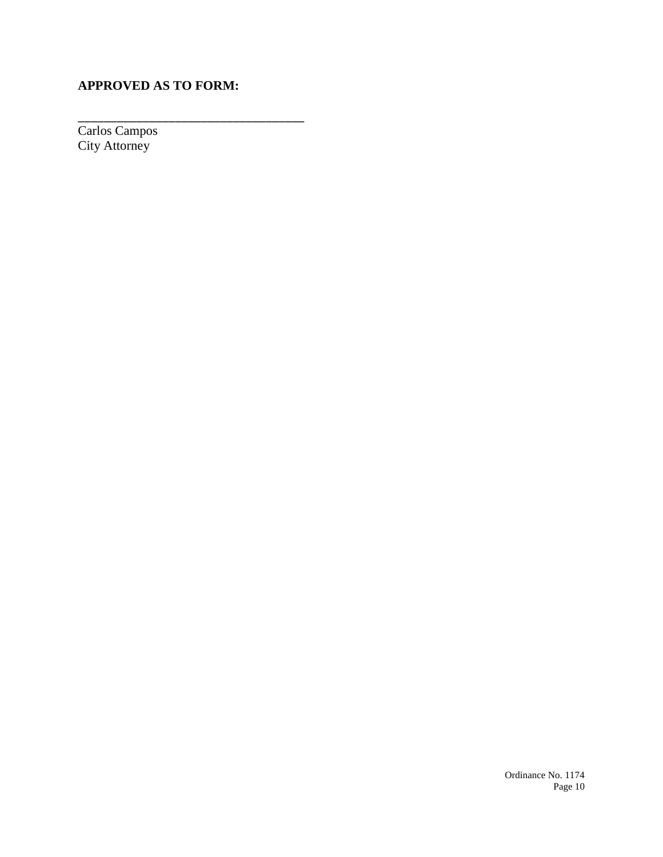# **APPROVED AS TO FORM:**

\_\_\_\_\_\_\_\_\_\_\_\_\_\_\_\_\_\_\_\_\_\_\_\_\_\_\_\_\_\_\_\_\_\_\_

Carlos Campos City Attorney